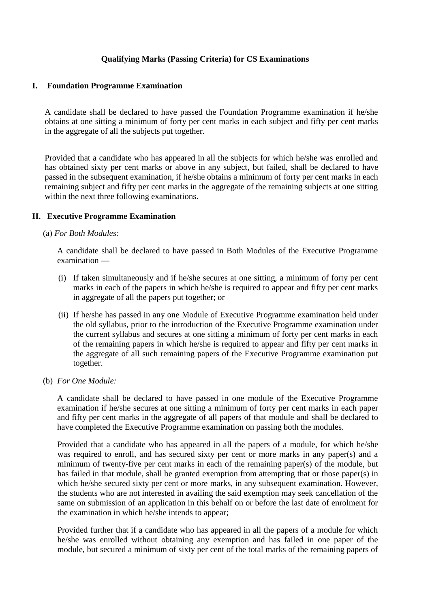# **Qualifying Marks (Passing Criteria) for CS Examinations**

### **I. Foundation Programme Examination**

A candidate shall be declared to have passed the Foundation Programme examination if he/she obtains at one sitting a minimum of forty per cent marks in each subject and fifty per cent marks in the aggregate of all the subjects put together.

Provided that a candidate who has appeared in all the subjects for which he/she was enrolled and has obtained sixty per cent marks or above in any subject, but failed, shall be declared to have passed in the subsequent examination, if he/she obtains a minimum of forty per cent marks in each remaining subject and fifty per cent marks in the aggregate of the remaining subjects at one sitting within the next three following examinations.

#### **II. Executive Programme Examination**

#### (a) *For Both Modules:*

A candidate shall be declared to have passed in Both Modules of the Executive Programme examination —

- (i) If taken simultaneously and if he/she secures at one sitting, a minimum of forty per cent marks in each of the papers in which he/she is required to appear and fifty per cent marks in aggregate of all the papers put together; or
- (ii) If he/she has passed in any one Module of Executive Programme examination held under the old syllabus, prior to the introduction of the Executive Programme examination under the current syllabus and secures at one sitting a minimum of forty per cent marks in each of the remaining papers in which he/she is required to appear and fifty per cent marks in the aggregate of all such remaining papers of the Executive Programme examination put together.
- (b) *For One Module:*

A candidate shall be declared to have passed in one module of the Executive Programme examination if he/she secures at one sitting a minimum of forty per cent marks in each paper and fifty per cent marks in the aggregate of all papers of that module and shall be declared to have completed the Executive Programme examination on passing both the modules.

Provided that a candidate who has appeared in all the papers of a module, for which he/she was required to enroll, and has secured sixty per cent or more marks in any paper(s) and a minimum of twenty-five per cent marks in each of the remaining paper(s) of the module, but has failed in that module, shall be granted exemption from attempting that or those paper(s) in which he/she secured sixty per cent or more marks, in any subsequent examination. However, the students who are not interested in availing the said exemption may seek cancellation of the same on submission of an application in this behalf on or before the last date of enrolment for the examination in which he/she intends to appear;

Provided further that if a candidate who has appeared in all the papers of a module for which he/she was enrolled without obtaining any exemption and has failed in one paper of the module, but secured a minimum of sixty per cent of the total marks of the remaining papers of